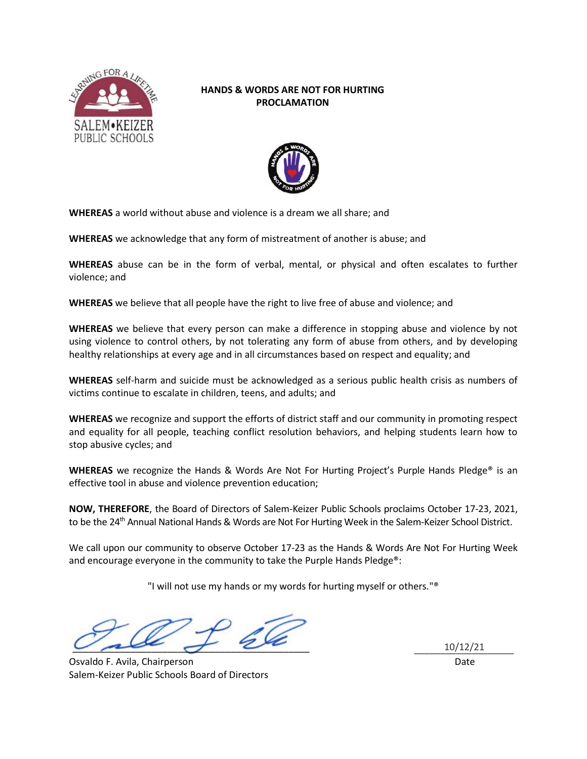

## **HANDS & WORDS ARE NOT FOR HURTING PROCLAMATION**



**WHEREAS** a world without abuse and violence is a dream we all share; and

**WHEREAS** we acknowledge that any form of mistreatment of another is abuse; and

**WHEREAS** abuse can be in the form of verbal, mental, or physical and often escalates to further violence; and

**WHEREAS** we believe that all people have the right to live free of abuse and violence; and

**WHEREAS** we believe that every person can make a difference in stopping abuse and violence by not using violence to control others, by not tolerating any form of abuse from others, and by developing healthy relationships at every age and in all circumstances based on respect and equality; and

**WHEREAS** self-harm and suicide must be acknowledged as a serious public health crisis as numbers of victims continue to escalate in children, teens, and adults; and

**WHEREAS** we recognize and support the efforts of district staff and our community in promoting respect and equality for all people, teaching conflict resolution behaviors, and helping students learn how to stop abusive cycles; and

**WHEREAS** we recognize the Hands & Words Are Not For Hurting Project's Purple Hands Pledge® is an effective tool in abuse and violence prevention education;

**NOW, THEREFORE**, the Board of Directors of Salem-Keizer Public Schools proclaims October 17-23, 2021, to be the 24<sup>th</sup> Annual National Hands & Words are Not For Hurting Week in the Salem-Keizer School District.

We call upon our community to observe October 17-23 as the Hands & Words Are Not For Hurting Week and encourage everyone in the community to take the Purple Hands Pledge®:

"I will not use my hands or my words for hurting myself or others."®

\_\_\_\_\_\_\_\_\_\_\_\_\_\_\_\_\_\_\_\_\_\_\_\_\_\_\_\_\_\_\_\_\_\_\_\_\_\_\_\_\_\_\_\_\_ \_\_\_\_\_\_\_\_\_\_\_\_\_\_\_\_\_\_\_\_\_\_\_\_\_\_\_\_\_\_\_\_\_\_\_\_\_\_\_\_\_\_\_\_\_ 10/12/21

Osvaldo F. Avila, Chairperson Date Salem-Keizer Public Schools Board of Directors

10/12/21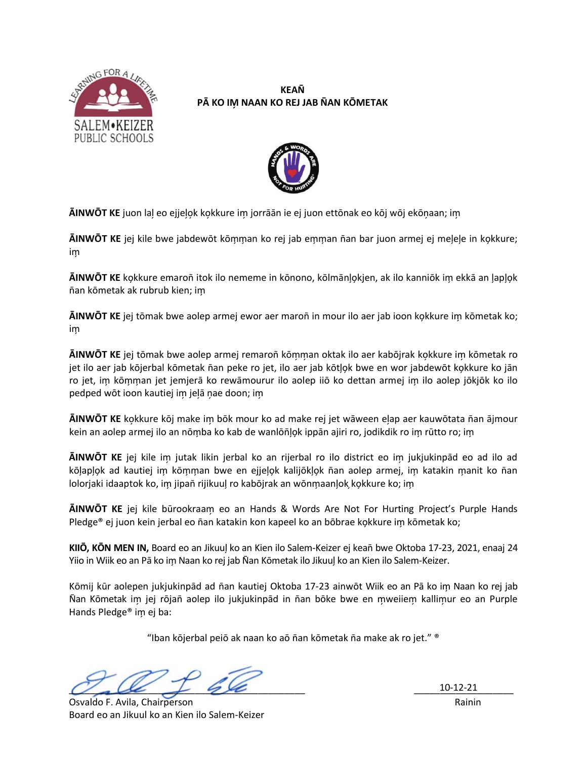

## **KEAÑ** PĀ KO IM NAAN KO REJ JAB NAN KŌMETAK



AINWOT KE juon lal eo ejjelok kokkure im jorrāān ie ej juon ettōnak eo kōj wōj ekōnaan; im

AINWOT KE jej kile bwe jabdewōt kōmman ko rej jab emman ñan bar juon armej ej melele in kokkure; im

**AINWOT KE** kokkure emaroñ itok ilo nememe in kōnono, kōlmānlokjen, ak ilo kanniōk im ekkā an laplok ñan kōmetak ak rubrub kien; im

AINWOT KE jej tōmak bwe aolep armej ewor aer maroñ in mour ilo aer jab ioon kokkure im kōmetak ko; im

AINWOT KE jej tōmak bwe aolep armej remaroñ kōmman oktak ilo aer kabōjrak kokkure im kōmetak ro jet ilo aer jab kōjerbal kōmetak ñan peke ro jet, ilo aer jab kōtļok bwe en wor jabdewōt kokkure ko jān ro jet, im kōmman jet jemjerā ko rewāmourur ilo aolep iiō ko dettan armej im ilo aolep jōkjōk ko ilo pedped wōt ioon kautiej im jeļā ņae doon; im

**AINWOT KE** kokkure kõj make im bõk mour ko ad make rej jet wāween elap aer kauwōtata ñan ājmour kein an aolep armej ilo an nōmba ko kab de wanlōñļok ippān ajiri ro, jodikdik ro im rūtto ro; im

AINWOT KE jej kile im jutak likin jerbal ko an rijerbal ro ilo district eo im jukjukinpād eo ad ilo ad kõlaplok ad kautiej im kõmman bwe en eijelok kalijõklok ñan aolep armej, im katakin manit ko ñan lolorjaki idaaptok ko, im jipañ rijikuul ro kabōjrak an wōnmaanlok kokkure ko; im

AINWOT KE jej kile būrookraam eo an Hands & Words Are Not For Hurting Project's Purple Hands Pledge® ej juon kein jerbal eo ñan katakin kon kapeel ko an bōbrae kokkure im kōmetak ko;

KIIO, KON MEN IN, Board eo an Jikuul ko an Kien ilo Salem-Keizer ej keañ bwe Oktoba 17-23, 2021, enaaj 24 Yiio in Wiik eo an Pā ko im Naan ko rej jab Ñan Kōmetak ilo Jikuul ko an Kien ilo Salem-Keizer.

Kōmij kūr aolepen jukjukinpād ad ñan kautiej Oktoba 17-23 ainwōt Wijk eo an Pā ko im Naan ko rej jab Nan Kōmetak im jej rōjañ aolep ilo jukjukinpād in ñan bōke bwe en mweijem kallimur eo an Purple Hands Pledge<sup>®</sup> im ej ba:

"Iban kōjerbal peiō ak naan ko aō ñan kōmetak ña make ak ro jet." ®

 $10-12-21$ 

Osvaldo F. Avila, Chairperson Board eo an Jikuul ko an Kien ilo Salem-Keizer

Rainin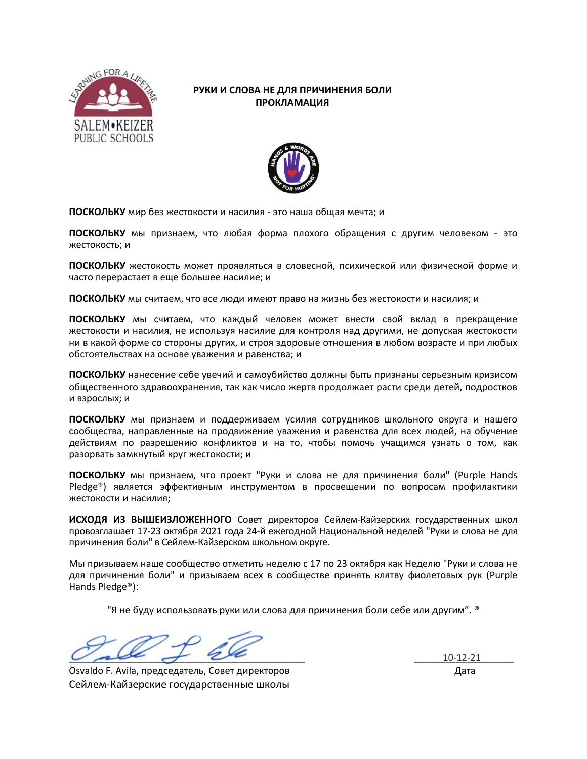

## РУКИ И СЛОВА НЕ ДЛЯ ПРИЧИНЕНИЯ БОЛИ **ПРОКЛАМАЦИЯ**



ПОСКОЛЬКУ мир без жестокости и насилия - это наша общая мечта; и

ПОСКОЛЬКУ мы признаем, что любая форма плохого обращения с другим человеком - это жестокость; и

ПОСКОЛЬКУ жестокость может проявляться в словесной, психической или физической форме и часто перерастает в еще большее насилие; и

ПОСКОЛЬКУ мы считаем, что все люди имеют право на жизнь без жестокости и насилия; и

ПОСКОЛЬКУ мы считаем, что каждый человек может внести свой вклад в прекращение жестокости и насилия, не используя насилие для контроля над другими, не допуская жестокости ни в какой форме со стороны других, и строя здоровые отношения в любом возрасте и при любых обстоятельствах на основе уважения и равенства; и

ПОСКОЛЬКУ нанесение себе увечий и самоубийство должны быть признаны серьезным кризисом общественного здравоохранения, так как число жертв продолжает расти среди детей, подростков и взрослых; и

ПОСКОЛЬКУ мы признаем и поддерживаем усилия сотрудников школьного округа и нашего сообщества, направленные на продвижение уважения и равенства для всех людей, на обучение действиям по разрешению конфликтов и на то, чтобы помочь учащимся узнать о том, как разорвать замкнутый круг жестокости; и

ПОСКОЛЬКУ мы признаем, что проект "Руки и слова не для причинения боли" (Purple Hands Pledge®) является эффективным инструментом в просвещении по вопросам профилактики жестокости и насилия:

ИСХОДЯ ИЗ ВЫШЕИЗЛОЖЕННОГО СОВЕТ ДИРЕКТОРОВ СЕЙЛЕМ-КАЙЗЕРСКИХ ГОСУДАРСТВЕННЫХ ШКОЛ провозглашает 17-23 октября 2021 года 24-й ежегодной Национальной неделей "Руки и слова не для причинения боли" в Сейлем-Кайзерском школьном округе.

Мы призываем наше сообщество отметить неделю с 17 по 23 октября как Неделю "Руки и слова не для причинения боли" и призываем всех в сообществе принять клятву фиолетовых рук (Purple Hands Pledge<sup>®</sup>):

"Я не буду использовать руки или слова для причинения боли себе или другим". ®

Osvaldo F. Avila, председатель, Совет директоров Сейлем-Кайзерские государственные школы

 $10-12-21$ Дата